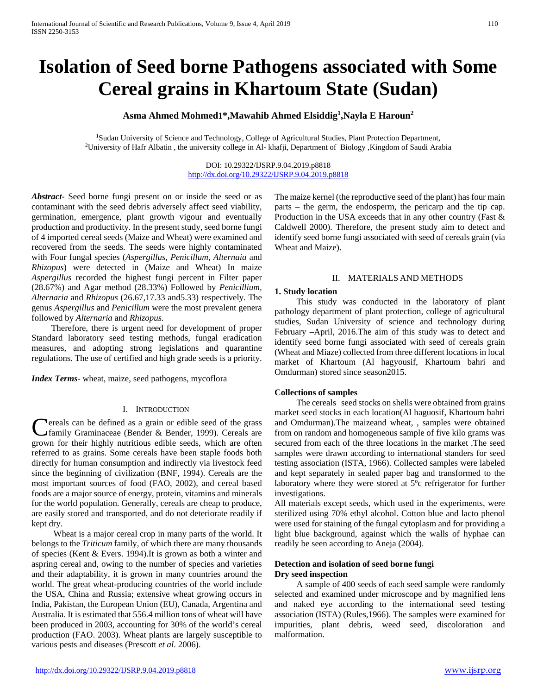# **Isolation of Seed borne Pathogens associated with Some Cereal grains in Khartoum State (Sudan)**

# **Asma Ahmed Mohmed1\*,Mawahib Ahmed Elsiddig1 ,Nayla E Haroun2**

1Sudan University of Science and Technology, College of Agricultural Studies, Plant Protection Department, 2University of Hafr Albatin , the university college in Al- khafji, Department of Biology ,Kingdom of Saudi Arabia

DOI: 10.29322/IJSRP.9.04.2019.p8818 <http://dx.doi.org/10.29322/IJSRP.9.04.2019.p8818>

*Abstract***-** Seed borne fungi present on or inside the seed or as contaminant with the seed debris adversely affect seed viability, germination, emergence, plant growth vigour and eventually production and productivity. In the present study, seed borne fungi of 4 imported cereal seeds (Maize and Wheat) were examined and recovered from the seeds. The seeds were highly contaminated with Four fungal species (*Aspergillus, Penicillum, Alternaia* and *Rhizopus*) were detected in (Maize and Wheat) In maize *Aspergillus* recorded the highest fungi percent in Filter paper (28.67%) and Agar method (28.33%) Followed by *Penicillium, Alternaria* and *Rhizopus* (26.67,17.33 and5.33) respectively. The genus *Aspergillus* and *Penicillum* were the most prevalent genera followed by *Alternaria* and *Rhizopus.*

 Therefore, there is urgent need for development of proper Standard laboratory seed testing methods, fungal eradication measures, and adopting strong legislations and quarantine regulations. The use of certified and high grade seeds is a priority.

*Index Terms*- wheat, maize, seed pathogens, mycoflora

### I. INTRODUCTION

**Tereals can be defined as a grain or edible seed of the grass** family Graminaceae (Bender & Bender, 1999). Cereals are **C**ereals can be defined as a grain or edible seed of the grass<br>family Graminaceae (Bender & Bender, 1999). Cereals are<br>grown for their highly nutritious edible seeds, which are often referred to as grains. Some cereals have been staple foods both directly for human consumption and indirectly via livestock feed since the beginning of civilization (BNF, 1994). Cereals are the most important sources of food (FAO, 2002), and cereal based foods are a major source of energy, protein, vitamins and minerals for the world population. Generally, cereals are cheap to produce, are easily stored and transported, and do not deteriorate readily if kept dry.

 Wheat is a major cereal crop in many parts of the world. It belongs to the *Triticum* family, of which there are many thousands of species (Kent & Evers. 1994).It is grown as both a winter and aspring cereal and, owing to the number of species and varieties and their adaptability, it is grown in many countries around the world. The great wheat-producing countries of the world include the USA, China and Russia; extensive wheat growing occurs in India, Pakistan, the European Union (EU), Canada, Argentina and Australia. It is estimated that 556.4 million tons of wheat will have been produced in 2003, accounting for 30% of the world's cereal production (FAO. 2003). Wheat plants are largely susceptible to various pests and diseases (Prescott *et al*. 2006).

The maize kernel (the reproductive seed of the plant) has four main parts – the germ, the endosperm, the pericarp and the tip cap. Production in the USA exceeds that in any other country (Fast & Caldwell 2000). Therefore, the present study aim to detect and identify seed borne fungi associated with seed of cereals grain (via Wheat and Maize).

## II. MATERIALS AND METHODS

## **1. Study location**

 This study was conducted in the laboratory of plant pathology department of plant protection, college of agricultural studies, Sudan University of science and technology during February –April, 2016.The aim of this study was to detect and identify seed borne fungi associated with seed of cereals grain (Wheat and Miaze) collected from three different locations in local market of Khartoum (Al hagyousif, Khartoum bahri and Omdurman) stored since season2015.

#### **Collections of samples**

 The cereals seed stocks on shells were obtained from grains market seed stocks in each location(Al haguosif, Khartoum bahri and Omdurman).The maizeand wheat, , samples were obtained from on random and homogeneous sample of five kilo grams was secured from each of the three locations in the market .The seed samples were drawn according to international standers for seed testing association (ISTA, 1966). Collected samples were labeled and kept separately in sealed paper bag and transformed to the laboratory where they were stored at 5°c refrigerator for further investigations.

All materials except seeds, which used in the experiments, were sterilized using 70% ethyl alcohol. Cotton blue and lacto phenol were used for staining of the fungal cytoplasm and for providing a light blue background, against which the walls of hyphae can readily be seen according to Aneja (2004).

## **Detection and isolation of seed borne fungi Dry seed inspection**

 A sample of 400 seeds of each seed sample were randomly selected and examined under microscope and by magnified lens and naked eye according to the international seed testing association (ISTA) (Rules,1966). The samples were examined for impurities, plant debris, weed seed, discoloration and malformation.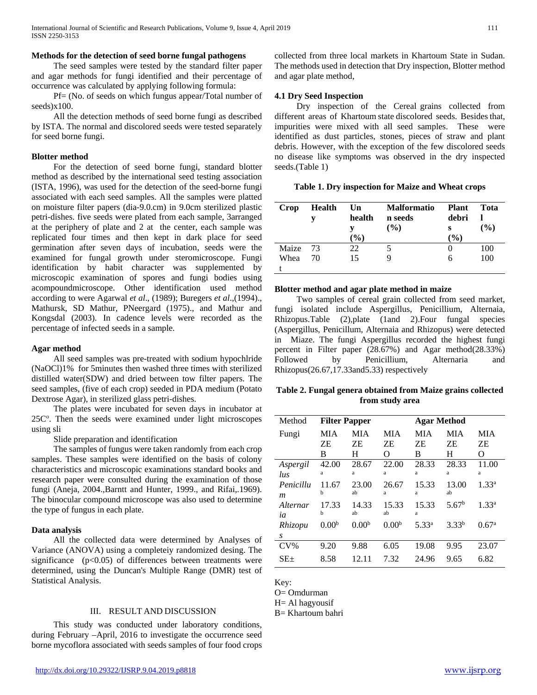## **Methods for the detection of seed borne fungal pathogens**

 The seed samples were tested by the standard filter paper and agar methods for fungi identified and their percentage of occurrence was calculated by applying following formula:

 Pf= (No. of seeds on which fungus appear/Total number of seeds)x100.

 All the detection methods of seed borne fungi as described by ISTA. The normal and discolored seeds were tested separately for seed borne fungi.

## **Blotter method**

 For the detection of seed borne fungi, standard blotter method as described by the international seed testing association (ISTA, 1996), was used for the detection of the seed-borne fungi associated with each seed samples. All the samples were platted on moisture filter papers (dia-9.0.cm) in 9.0cm sterilized plastic petri-dishes. five seeds were plated from each sample, 3arranged at the periphery of plate and 2 at the center, each sample was replicated four times and then kept in dark place for seed germination after seven days of incubation, seeds were the examined for fungal growth under steromicroscope. Fungi identification by habit character was supplemented by microscopic examination of spores and fungi bodies using acompoundmicroscope. Other identification used method according to were Agarwal *et al*., (1989); Buregers *et al*.,(1994)., Mathursk, SD Mathur, PNeergard (1975)., and Mathur and Kongsdal (2003). In cadence levels were recorded as the percentage of infected seeds in a sample.

### **Agar method**

 All seed samples was pre-treated with sodium hypochlride (NaOCl)1% for 5minutes then washed three times with sterilized distilled water(SDW) and dried between tow filter papers. The seed samples, (five of each crop) seeded in PDA medium (Potato Dextrose Agar), in sterilized glass petri-dishes.

 The plates were incubated for seven days in incubator at 25C°. Then the seeds were examined under light microscopes using sli

Slide preparation and identification

 The samples of fungus were taken randomly from each crop samples. These samples were identified on the basis of colony characteristics and microscopic examinations standard books and research paper were consulted during the examination of those fungi (Aneja, 2004.,Barntt and Hunter, 1999., and Rifai,.1969). The binocular compound microscope was also used to determine the type of fungus in each plate.

## **Data analysis**

 All the collected data were determined by Analyses of Variance (ANOVA) using a completeiy randomized desing. The significance (p<0.05) of differences between treatments were determined, using the Duncan's Multiple Range (DMR) test of Statistical Analysis.

#### III. RESULT AND DISCUSSION

 This study was conducted under laboratory conditions, during February –April, 2016 to investigate the occurrence seed borne mycoflora associated with seeds samples of four food crops collected from three local markets in Khartoum State in Sudan. The methods used in detection that Dry inspection, Blotter method and agar plate method,

## **4.1 Dry Seed Inspection**

 Dry inspection of the Cereal grains collected from different areas of Khartoum state discolored seeds. Besides that, impurities were mixed with all seed samples. These were identified as dust particles, stones, pieces of straw and plant debris. However, with the exception of the few discolored seeds no disease like symptoms was observed in the dry inspected seeds.(Table 1)

| Table 1. Dry inspection for Maize and Wheat crops |
|---------------------------------------------------|
|---------------------------------------------------|

| Crop  | <b>Health</b> | Un<br>health<br>$\mathcal{O}_0$ | <b>Malformatio</b><br>n seeds<br>$($ %) | <b>Plant</b><br>debri<br>s<br>$\mathcal{O}_{\mathbf{0}}$ | Tota<br>$($ %) |
|-------|---------------|---------------------------------|-----------------------------------------|----------------------------------------------------------|----------------|
| Maize | 73            | 22                              |                                         |                                                          | 100            |
| Whea  | 70            | 15                              |                                         | 6                                                        | 100            |
|       |               |                                 |                                         |                                                          |                |

## **Blotter method and agar plate method in maize**

 Two samples of cereal grain collected from seed market, fungi isolated include Aspergillus, Penicillium, Alternaia, Rhizopus.Table (2),plate (1and 2).Four fungal species (Aspergillus, Penicillum, Alternaia and Rhizopus) were detected in Miaze. The fungi Aspergillus recorded the highest fungi percent in Filter paper (28.67%) and Agar method(28.33%) Followed by Penicillium, Alternaria and Rhizopus(26.67,17.33and5.33) respectively

## **Table 2. Fungal genera obtained from Maize grains collected from study area**

| Method     | <b>Filter Papper</b> |                   |                                   | <b>Agar Method</b> |                   |                   |
|------------|----------------------|-------------------|-----------------------------------|--------------------|-------------------|-------------------|
| Fungi      | MIA                  | MIA               | MIA                               | MIA                | <b>MIA</b>        | <b>MIA</b>        |
|            | ΖE                   | ΖE                | ΖE                                | ΖE                 | ΖE                | ΖE                |
|            | B                    | H                 | $\scriptstyle\rm\scriptstyle{()}$ | В                  | H                 | Ω                 |
| Aspergil   | 42.00                | 28.67             | 22.00                             | 28.33              | 28.33             | 11.00             |
| $\iota$ us | a                    | a                 | a                                 | a                  | a                 | a                 |
| Penicillu  | 11.67                | 23.00             | 26.67                             | 15.33              | 13.00             | $1.33^{a}$        |
| m          | h                    | ab                | a                                 | a                  | ab                |                   |
| Alternar   | 17.33                | 14.33             | 15.33                             | 15.33              | 5.67 <sup>b</sup> | $1.33^{a}$        |
| ia         | h                    | ab                | ab                                | a                  |                   |                   |
| Rhizopu    | 0.00 <sup>b</sup>    | 0.00 <sup>b</sup> | 0.00 <sup>b</sup>                 | 5.33 <sup>a</sup>  | $3.33^{b}$        | 0.67 <sup>a</sup> |
| S          |                      |                   |                                   |                    |                   |                   |
| $CV\%$     | 9.20                 | 9.88              | 6.05                              | 19.08              | 9.95              | 23.07             |
| $SE+$      | 8.58                 | 12.11             | 7.32                              | 24.96              | 9.65              | 6.82              |

Key:

O= Omdurman

H= Al hagyousif

B= Khartoum bahri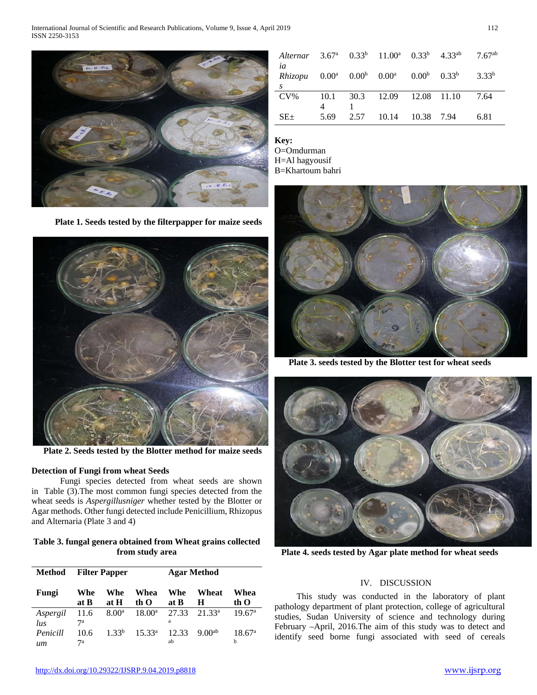International Journal of Scientific and Research Publications, Volume 9, Issue 4, April 2019 112 ISSN 2250-3153



| Alternar 3.67 <sup>a</sup> 0.33 <sup>b</sup> 11.00 <sup>a</sup> 0.33 <sup>b</sup> 4.33 <sup>ab</sup> 7.67 <sup>ab</sup> |      |                             |  |                   |
|-------------------------------------------------------------------------------------------------------------------------|------|-----------------------------|--|-------------------|
| ia<br><i>Rhizopu</i> $0.00^a$ $0.00^b$ $0.00^a$ $0.00^b$ $0.33^b$                                                       |      |                             |  | 3.33 <sup>b</sup> |
| S                                                                                                                       |      |                             |  |                   |
| $CV\%$                                                                                                                  |      | 10.1 30.3 12.09 12.08 11.10 |  | 7.64              |
|                                                                                                                         |      |                             |  |                   |
| $SE+$                                                                                                                   | 5.69 | 2.57 10.14 10.38 7.94       |  | 6.81              |

**Key:**

O=Omdurman H=Al hagyousif B=Khartoum bahri





**Plate 2. Seeds tested by the Blotter method for maize seeds**

## **Detection of Fungi from wheat Seeds**

 Fungi species detected from wheat seeds are shown in Table (3).The most common fungi species detected from the wheat seeds is *Aspergillusniger* whether tested by the Blotter or Agar methods. Other fungi detected include Penicillium, Rhizopus and Alternaria (Plate 3 and 4)

**Table 3. fungal genera obtained from Wheat grains collected from study area**

| <b>Method</b>          | <b>Filter Papper</b> |                   |                    | <b>Agar Method</b> |                    |                         |
|------------------------|----------------------|-------------------|--------------------|--------------------|--------------------|-------------------------|
| Fungi                  | Whe<br>at B          | Whe<br>at H       | Whea<br>th O       | Whe<br>at B        | Wheat<br>H         | Whea<br>th O            |
| Aspergil<br><i>lus</i> | 11.6<br>7а           | 8.00 <sup>a</sup> | $18.00^{\rm a}$    | 27.33<br>a         | 21.33 <sup>a</sup> | 19.67 <sup>a</sup>      |
| Penicill<br>um         | 10.6<br>7а           | 1.33 <sup>b</sup> | 15.33 <sup>a</sup> | 12.33<br>ab        | 9.00 <sup>ab</sup> | 18.67 <sup>a</sup><br>h |

**Plate 3. seeds tested by the Blotter test for wheat seeds**



**Plate 4. seeds tested by Agar plate method for wheat seeds**

## IV. DISCUSSION

 This study was conducted in the laboratory of plant pathology department of plant protection, college of agricultural studies, Sudan University of science and technology during February –April, 2016.The aim of this study was to detect and identify seed borne fungi associated with seed of cereals